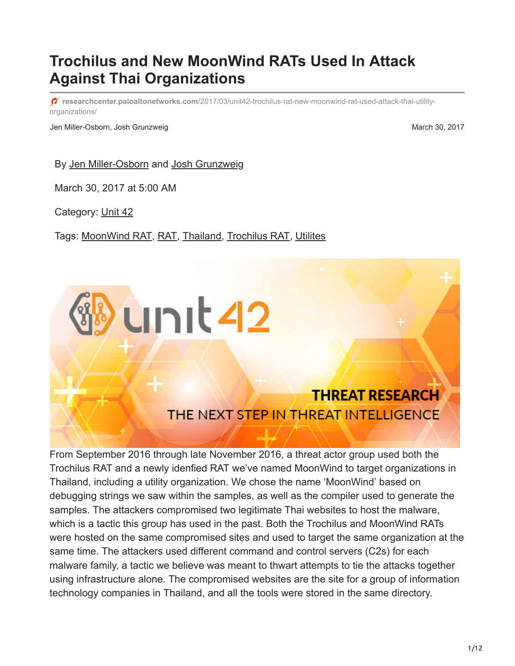# **Trochilus and New MoonWind RATs Used In Attack Against Thai Organizations**

**researchcenter.paloaltonetworks.com**[/2017/03/unit42-trochilus-rat-new-moonwind-rat-used-attack-thai-utility](http://researchcenter.paloaltonetworks.com/2017/03/unit42-trochilus-rat-new-moonwind-rat-used-attack-thai-utility-organizations/)organizations/

Jen Miller-Osborn, Josh Grunzweig March 30, 2017

By [Jen Miller-Osborn](https://unit42.paloaltonetworks.com/author/jen-miller-osborn/) and [Josh Grunzweig](https://unit42.paloaltonetworks.com/author/joshgruznweig/)

March 30, 2017 at 5:00 AM

Category: [Unit 42](https://unit42.paloaltonetworks.com/category/unit42/)

Tags: [MoonWind RAT,](https://unit42.paloaltonetworks.com/tag/moonwind-rat/) [RAT,](https://unit42.paloaltonetworks.com/tag/rat/) [Thailand](https://unit42.paloaltonetworks.com/tag/thailand/), [Trochilus RAT,](https://unit42.paloaltonetworks.com/tag/trochilus-rat/) [Utilites](https://unit42.paloaltonetworks.com/tag/utilites/)



From September 2016 through late November 2016, a threat actor group used both the Trochilus RAT and a newly idenfied RAT we've named MoonWind to target organizations in Thailand, including a utility organization. We chose the name 'MoonWind' based on debugging strings we saw within the samples, as well as the compiler used to generate the samples. The attackers compromised two legitimate Thai websites to host the malware, which is a tactic this group has used in the past. Both the Trochilus and MoonWind RATs were hosted on the same compromised sites and used to target the same organization at the same time. The attackers used different command and control servers (C2s) for each malware family, a tactic we believe was meant to thwart attempts to tie the attacks together using infrastructure alone. The compromised websites are the site for a group of information technology companies in Thailand, and all the tools were stored in the same directory.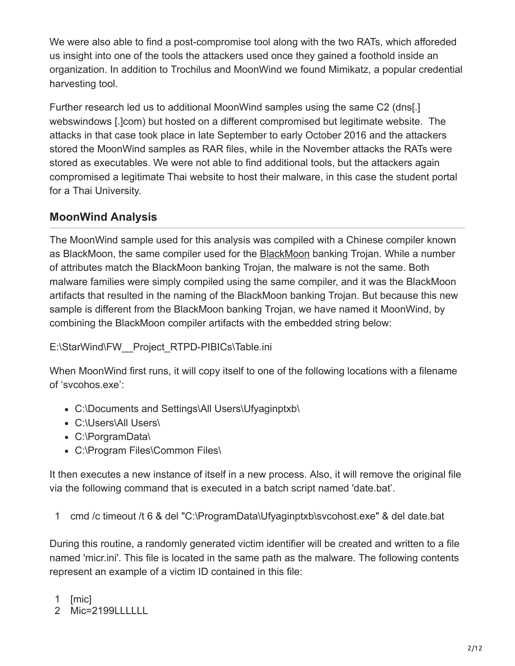We were also able to find a post-compromise tool along with the two RATs, which afforeded us insight into one of the tools the attackers used once they gained a foothold inside an organization. In addition to Trochilus and MoonWind we found Mimikatz, a popular credential harvesting tool.

Further research led us to additional MoonWind samples using the same C2 (dns[.] webswindows [.]com) but hosted on a different compromised but legitimate website. The attacks in that case took place in late September to early October 2016 and the attackers stored the MoonWind samples as RAR files, while in the November attacks the RATs were stored as executables. We were not able to find additional tools, but the attackers again compromised a legitimate Thai website to host their malware, in this case the student portal for a Thai University.

# **MoonWind Analysis**

The MoonWind sample used for this analysis was compiled with a Chinese compiler known as [BlackMoon](https://www.proofpoint.com/us/threat-insight/post/Updated-Blackmoon-Banking-Trojan), the same compiler used for the **BlackMoon banking Trojan. While a number** of attributes match the BlackMoon banking Trojan, the malware is not the same. Both malware families were simply compiled using the same compiler, and it was the BlackMoon artifacts that resulted in the naming of the BlackMoon banking Trojan. But because this new sample is different from the BlackMoon banking Trojan, we have named it MoonWind, by combining the BlackMoon compiler artifacts with the embedded string below:

## E:\StarWind\FW\_Project\_RTPD-PIBICs\Table.ini

When MoonWind first runs, it will copy itself to one of the following locations with a filename of 'svcohos.exe':

- C:\Documents and Settings\All Users\Ufyaginptxb\
- C:\Users\All Users\
- C:\PorgramData\
- C:\Program Files\Common Files\

It then executes a new instance of itself in a new process. Also, it will remove the original file via the following command that is executed in a batch script named 'date.bat'.

1 cmd /c timeout /t 6 & del "C:\ProgramData\Ufyaginptxb\svcohost.exe" & del date.bat

During this routine, a randomly generated victim identifier will be created and written to a file named 'micr.ini'. This file is located in the same path as the malware. The following contents represent an example of a victim ID contained in this file:

1 [mic]

2 Mic=2199LLLLLL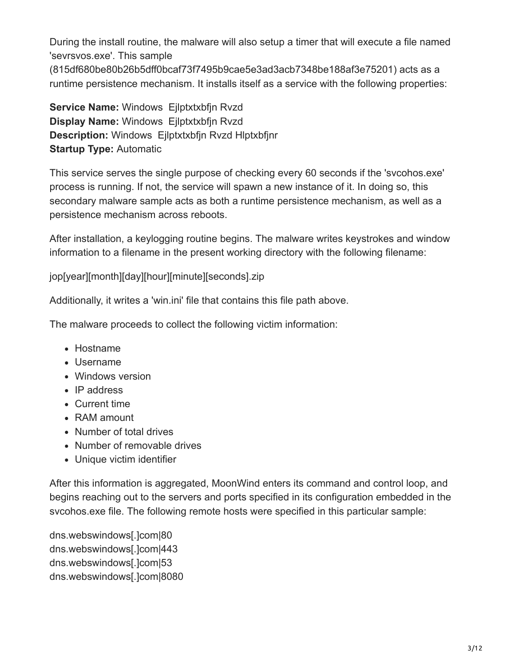During the install routine, the malware will also setup a timer that will execute a file named 'sevrsvos.exe'. This sample (815df680be80b26b5dff0bcaf73f7495b9cae5e3ad3acb7348be188af3e75201) acts as a runtime persistence mechanism. It installs itself as a service with the following properties:

**Service Name:** Windows Ejlptxtxbfjn Rvzd **Display Name:** Windows Ejlptxtxbfjn Rvzd **Description:** Windows Ejlptxtxbfjn Rvzd Hlptxbfjnr **Startup Type:** Automatic

This service serves the single purpose of checking every 60 seconds if the 'svcohos.exe' process is running. If not, the service will spawn a new instance of it. In doing so, this secondary malware sample acts as both a runtime persistence mechanism, as well as a persistence mechanism across reboots.

After installation, a keylogging routine begins. The malware writes keystrokes and window information to a filename in the present working directory with the following filename:

jop[year][month][day][hour][minute][seconds].zip

Additionally, it writes a 'win.ini' file that contains this file path above.

The malware proceeds to collect the following victim information:

- Hostname
- Username
- Windows version
- IP address
- Current time
- RAM amount
- Number of total drives
- Number of removable drives
- Unique victim identifier

After this information is aggregated, MoonWind enters its command and control loop, and begins reaching out to the servers and ports specified in its configuration embedded in the svcohos.exe file. The following remote hosts were specified in this particular sample:

dns.webswindows[.]com|80 dns.webswindows[.]com|443 dns.webswindows[.]com|53 dns.webswindows[.]com|8080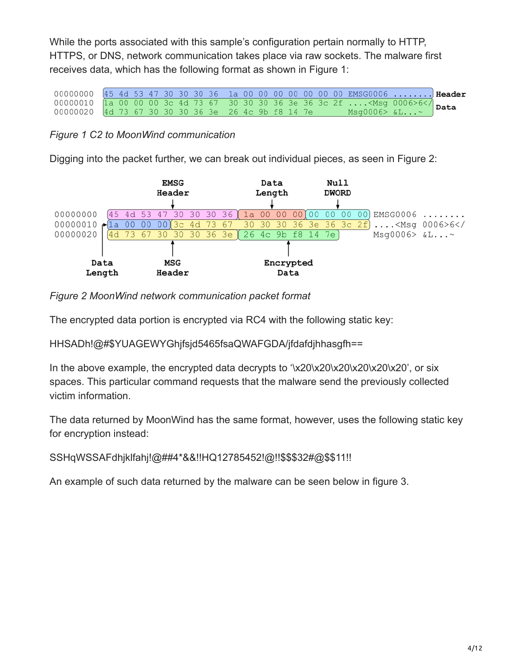While the ports associated with this sample's configuration pertain normally to HTTP, HTTPS, or DNS, network communication takes place via raw sockets. The malware first receives data, which has the following format as shown in Figure 1:

00000000 45 4d 53 47 30 30 30 36 1a 00 00 00 00 00 00 00 EMSG0006 Header  $1.1.1.1.1.1.1$  $...$  <Msg 0006>6</ 00000010  $\overline{30}$  $\overline{36}$ la 00 00  $00$  $3<sup>c</sup>$  $4d$ 73 67  $30$  $30$  $36$  $3e$  $3c$   $2f$ Data  $Msg0006> \&L...$ 00000020 4d 73 67 30 30 30 36 3e 26 4c 9b f8 14 7e

### *Figure 1 C2 to MoonWind communication*

Digging into the packet further, we can break out individual pieces, as seen in Figure 2:



#### *Figure 2 MoonWind network communication packet format*

The encrypted data portion is encrypted via RC4 with the following static key:

HHSADh!@#\$YUAGEWYGhjfsjd5465fsaQWAFGDA/jfdafdjhhasgfh==

In the above example, the encrypted data decrypts to '\x20\x20\x20\x20\x20\x20', or six spaces. This particular command requests that the malware send the previously collected victim information.

The data returned by MoonWind has the same format, however, uses the following static key for encryption instead:

SSHqWSSAFdhjklfahj!@##4\*&&!!HQ12785452!@!!\$\$\$32#@\$\$11!!

An example of such data returned by the malware can be seen below in figure 3.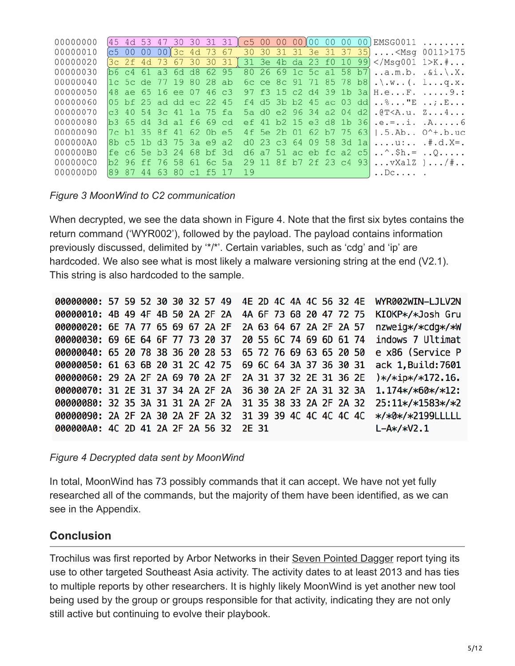| 00000000 |      |      |    |                         |  |            |    |  |  |  | $45$ 4d 53 47 30 30 31 31 $\circ$ 65 00 00 00 00 00 00 00 00 EMSG0011    |  |
|----------|------|------|----|-------------------------|--|------------|----|--|--|--|--------------------------------------------------------------------------|--|
| 00000010 |      |      |    |                         |  |            |    |  |  |  | $c5$ 00 00 00)3c 4d 73 67 30 30 31 31 3e 31 37 35 <msg 0011="">175</msg> |  |
| 00000020 |      |      |    |                         |  |            |    |  |  |  | $[3c 2f 4d 73 67 30 30 31]$ 31 3e 4b da 23 f0 10 99 K.#                  |  |
| 00000030 |      |      |    | b6 c4 61 a3 6d d8 62 95 |  |            |    |  |  |  | 80 26 69 1c 5c al 58 b7 a.m.b. .&i.\.X.                                  |  |
| 00000040 |      |      |    | 1c 5c de 77 19 80 28 ab |  |            |    |  |  |  | 6c ce 8c 91 71 85 78 b8 .\.w (. 1q.x.                                    |  |
| 00000050 |      |      |    | 48 ae 65 16 ee 07 46 c3 |  |            |    |  |  |  | 97 f3 15 c2 d4 39 1b 3a H.eF. 9.:                                        |  |
| 00000060 |      |      |    | 05 bf 25 ad dd ec 22 45 |  |            |    |  |  |  |                                                                          |  |
| 00000070 |      |      |    | c3 40 54 3c 41 1a 75 fa |  |            |    |  |  |  | 5a d0 e2 96 34 a2 04 d2 .@T <a.u. td="" z4<=""><td></td></a.u.>          |  |
| 00000080 |      |      |    | b3 65 d4 3d a1 f6 69 cd |  |            |    |  |  |  | ef 41 b2 15 e3 d8 1b 36 .e.=i. .A6                                       |  |
| 00000090 |      |      |    | 7c b1 35 8f 41 62 0b e5 |  |            |    |  |  |  | 4f 5e 2b 01 62 b7 75 63   .5.Ab 0^+.b.uc                                 |  |
| 000000A0 |      |      |    | 8b c5 1b d3 75 3a e9 a2 |  |            |    |  |  |  | d0 23 c3 64 09 58 3d 1a  u: . $\#$ .d.X=.                                |  |
| 000000B0 |      |      |    | fe c6 5e b3 24 68 bf 3d |  |            |    |  |  |  | d6 a7 51 ac eb fc a2 c5 $\sin = .0$                                      |  |
| 000000C0 |      |      |    | b2 96 ff 76 58 61 6c 5a |  |            |    |  |  |  | 29 11 8f b7 2f 23 c4 93  vXalZ )/#                                       |  |
| 000000D0 | 189. | - 87 | 44 | 6380                    |  | $c1$ f5 17 | 19 |  |  |  |                                                                          |  |
|          |      |      |    |                         |  |            |    |  |  |  |                                                                          |  |

#### *Figure 3 MoonWind to C2 communication*

When decrypted, we see the data shown in Figure 4. Note that the first six bytes contains the return command ('WYR002'), followed by the payload. The payload contains information previously discussed, delimited by '\*/\*'. Certain variables, such as 'cdg' and 'ip' are hardcoded. We also see what is most likely a malware versioning string at the end (V2.1). This string is also hardcoded to the sample.

00000000: 57 59 52 30 30 32 57 49 4E 2D 4C 4A 4C 56 32 4E WYR002WIN-LJLV2N 00000010: 4B 49 4F 4B 50 2A 2F 2A 4A 6F 73 68 20 47 72 75 KI0KP\*/\*Josh Gru 00000020: 6E 7A 77 65 69 67 2A 2F 2A 63 64 67 2A 2F 2A 57 nzweig\*/\*cdg\*/\*W 00000030: 69 6E 64 6F 77 73 20 37 20 55 6C 74 69 6D 61 74 indows 7 Ultimat 00000040: 65 20 78 38 36 20 28 53 65 72 76 69 63 65 20 50 e x86 (Service P 00000050: 61 63 6B 20 31 2C 42 75 69 6C 64 3A 37 36 30 31 ack 1, Build: 7601 2A 31 37 32 2E 31 36 2E )\*/\*ip\*/\*172.16. 00000060: 29 2A 2F 2A 69 70 2A 2F 00000070: 31 2E 31 37 34 2A 2F 2A 36 30 2A 2F 2A 31 32 3A 1.174\*/\*60\*/\*12: 00000080: 32 35 3A 31 31 2A 2F 2A 31 35 38 33 2A 2F 2A 32 25:11\*/\*1583\*/\*2 31 39 39 4C 4C 4C 4C 4C \*/\*0\*/\*2199LLLLL 00000090: 2A 2F 2A 30 2A 2F 2A 32 000000A0: 4C 2D 41 2A 2F 2A 56 32 2E 31  $L-A*/*V2.1$ 

*Figure 4 Decrypted data sent by MoonWind*

In total, MoonWind has 73 possibly commands that it can accept. We have not yet fully researched all of the commands, but the majority of them have been identified, as we can see in the Appendix.

# **Conclusion**

Trochilus was first reported by Arbor Networks in their [Seven Pointed Dagger](https://www.arbornetworks.com/blog/asert/wp-content/uploads/2016/01/ASERT-Threat-Intelligence-Brief-2015-08-Uncovering-the-Seven-Point-Dagger.pdf) report tying its use to other targeted Southeast Asia activity. The activity dates to at least 2013 and has ties to multiple reports by other researchers. It is highly likely MoonWind is yet another new tool being used by the group or groups responsible for that activity, indicating they are not only still active but continuing to evolve their playbook.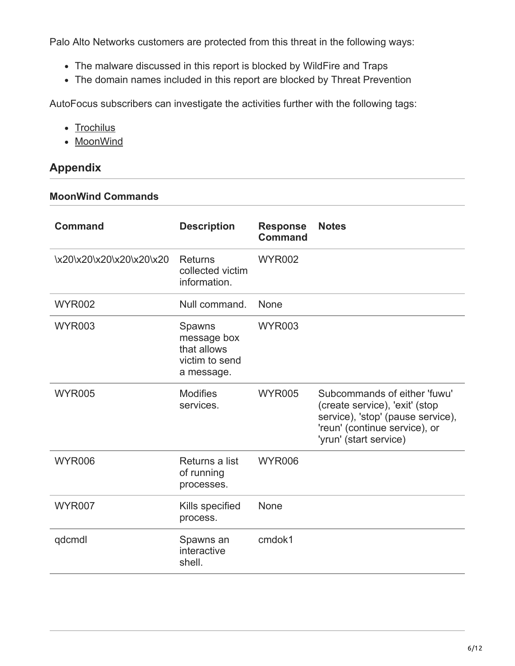Palo Alto Networks customers are protected from this threat in the following ways:

- The malware discussed in this report is blocked by WildFire and Traps
- The domain names included in this report are blocked by Threat Prevention

AutoFocus subscribers can investigate the activities further with the following tags:

- [Trochilus](https://autofocus.paloaltonetworks.com/#/tag/Unit42.Trochilus)
- [MoonWind](https://autofocus.paloaltonetworks.com/#/tag/Unit42.MoonWind)

# **Appendix**

#### **MoonWind Commands**

| <b>Command</b>           | <b>Description</b>                                                   | <b>Response</b><br><b>Command</b> | <b>Notes</b>                                                                                                                                                   |
|--------------------------|----------------------------------------------------------------------|-----------------------------------|----------------------------------------------------------------------------------------------------------------------------------------------------------------|
| \x20\x20\x20\x20\x20\x20 | Returns<br>collected victim<br>information.                          | <b>WYR002</b>                     |                                                                                                                                                                |
| <b>WYR002</b>            | Null command.                                                        | None                              |                                                                                                                                                                |
| <b>WYR003</b>            | Spawns<br>message box<br>that allows<br>victim to send<br>a message. | <b>WYR003</b>                     |                                                                                                                                                                |
| <b>WYR005</b>            | <b>Modifies</b><br>services.                                         | <b>WYR005</b>                     | Subcommands of either 'fuwu'<br>(create service), 'exit' (stop<br>service), 'stop' (pause service),<br>'reun' (continue service), or<br>'yrun' (start service) |
| <b>WYR006</b>            | Returns a list<br>of running<br>processes.                           | <b>WYR006</b>                     |                                                                                                                                                                |
| <b>WYR007</b>            | Kills specified<br>process.                                          | None                              |                                                                                                                                                                |
| qdcmdl                   | Spawns an<br>interactive<br>shell.                                   | cmdok1                            |                                                                                                                                                                |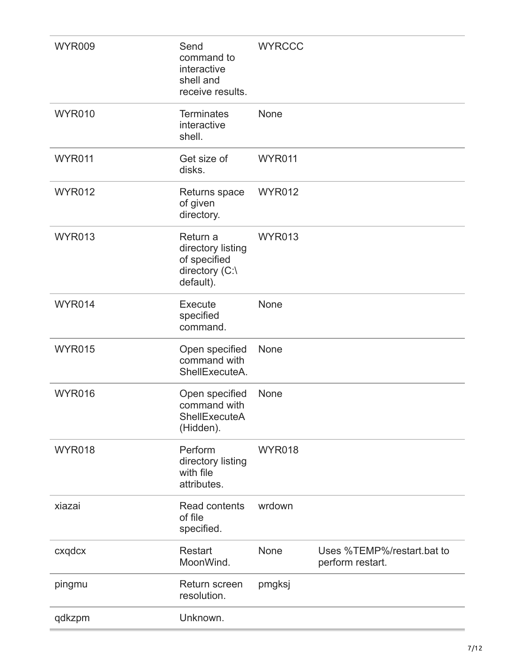| <b>WYR009</b> | Send<br>command to<br>interactive<br>shell and<br>receive results.           | <b>WYRCCC</b> |                                                |
|---------------|------------------------------------------------------------------------------|---------------|------------------------------------------------|
| <b>WYR010</b> | <b>Terminates</b><br>interactive<br>shell.                                   | None          |                                                |
| <b>WYR011</b> | Get size of<br>disks.                                                        | <b>WYR011</b> |                                                |
| <b>WYR012</b> | Returns space<br>of given<br>directory.                                      | <b>WYR012</b> |                                                |
| <b>WYR013</b> | Return a<br>directory listing<br>of specified<br>directory (C:\<br>default). | <b>WYR013</b> |                                                |
| <b>WYR014</b> | Execute<br>specified<br>command.                                             | None          |                                                |
| <b>WYR015</b> | Open specified<br>command with<br>ShellExecuteA.                             | None          |                                                |
| <b>WYR016</b> | Open specified<br>command with<br>ShellExecuteA<br>(Hidden).                 | None          |                                                |
| <b>WYR018</b> | Perform<br>directory listing<br>with file<br>attributes.                     | <b>WYR018</b> |                                                |
| xiazai        | <b>Read contents</b><br>of file<br>specified.                                | wrdown        |                                                |
| cxqdcx        | <b>Restart</b><br>MoonWind.                                                  | None          | Uses %TEMP%/restart.bat to<br>perform restart. |
| pingmu        | Return screen<br>resolution.                                                 | pmgksj        |                                                |
| qdkzpm        | Unknown.                                                                     |               |                                                |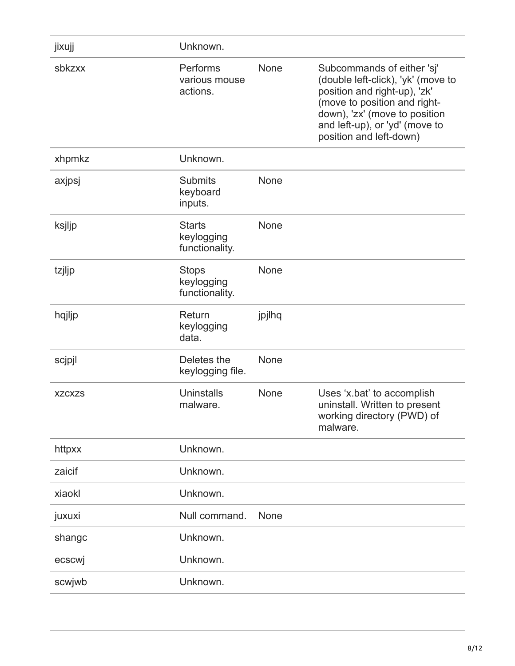| jixujj        | Unknown.                                      |        |                                                                                                                                                                                                                                |
|---------------|-----------------------------------------------|--------|--------------------------------------------------------------------------------------------------------------------------------------------------------------------------------------------------------------------------------|
| sbkzxx        | Performs<br>various mouse<br>actions.         | None   | Subcommands of either 'sj'<br>(double left-click), 'yk' (move to<br>position and right-up), 'zk'<br>(move to position and right-<br>down), 'zx' (move to position<br>and left-up), or 'yd' (move to<br>position and left-down) |
| xhpmkz        | Unknown.                                      |        |                                                                                                                                                                                                                                |
| axjpsj        | <b>Submits</b><br>keyboard<br>inputs.         | None   |                                                                                                                                                                                                                                |
| ksjljp        | <b>Starts</b><br>keylogging<br>functionality. | None   |                                                                                                                                                                                                                                |
| tzjljp        | <b>Stops</b><br>keylogging<br>functionality.  | None   |                                                                                                                                                                                                                                |
| hqjljp        | Return<br>keylogging<br>data.                 | jpjlhq |                                                                                                                                                                                                                                |
| scjpjl        | Deletes the<br>keylogging file.               | None   |                                                                                                                                                                                                                                |
| <b>XZCXZS</b> | Uninstalls<br>malware.                        | None   | Uses 'x.bat' to accomplish<br>uninstall. Written to present<br>working directory (PWD) of<br>malware.                                                                                                                          |
| httpxx        | Unknown.                                      |        |                                                                                                                                                                                                                                |
| zaicif        | Unknown.                                      |        |                                                                                                                                                                                                                                |
| xiaokl        | Unknown.                                      |        |                                                                                                                                                                                                                                |
| juxuxi        | Null command.                                 | None   |                                                                                                                                                                                                                                |
| shangc        | Unknown.                                      |        |                                                                                                                                                                                                                                |
| ecscwj        | Unknown.                                      |        |                                                                                                                                                                                                                                |
| scwjwb        | Unknown.                                      |        |                                                                                                                                                                                                                                |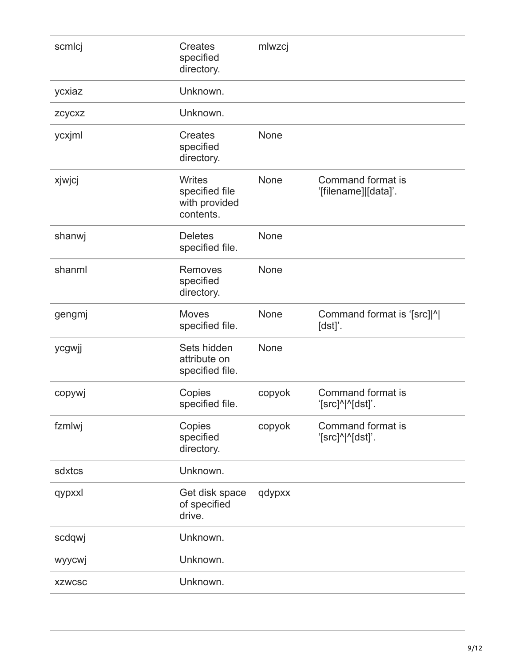| scmlcj        | <b>Creates</b><br>specified<br>directory.                     | mlwzcj |                                           |
|---------------|---------------------------------------------------------------|--------|-------------------------------------------|
| ycxiaz        | Unknown.                                                      |        |                                           |
| zcycxz        | Unknown.                                                      |        |                                           |
| ycxjml        | Creates<br>specified<br>directory.                            | None   |                                           |
| xjwjcj        | <b>Writes</b><br>specified file<br>with provided<br>contents. | None   | Command format is<br>'[filename]][data]'. |
| shanwj        | <b>Deletes</b><br>specified file.                             | None   |                                           |
| shanml        | Removes<br>specified<br>directory.                            | None   |                                           |
| gengmj        | <b>Moves</b><br>specified file.                               | None   | Command format is '[src] ^ <br>$[dst]'$ . |
| ycgwjj        | Sets hidden<br>attribute on<br>specified file.                | None   |                                           |
| copywj        | Copies<br>specified file.                                     | copyok | Command format is<br>'[src]^ ^[dst]'.     |
| fzmlwj        | Copies<br>specified<br>directory.                             | copyok | Command format is<br>'[src]^ ^[dst]'.     |
| sdxtcs        | Unknown.                                                      |        |                                           |
| qypxxl        | Get disk space<br>of specified<br>drive.                      | qdypxx |                                           |
| scdqwj        | Unknown.                                                      |        |                                           |
| wyycwj        | Unknown.                                                      |        |                                           |
| <b>XZWCSC</b> | Unknown.                                                      |        |                                           |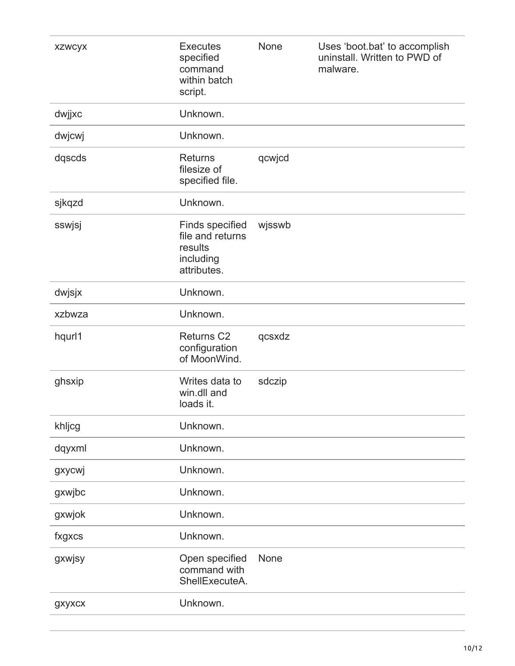| <b>XZWCYX</b> | <b>Executes</b><br>specified<br>command<br>within batch<br>script.                | None   | Uses 'boot.bat' to accomplish<br>uninstall. Written to PWD of<br>malware. |
|---------------|-----------------------------------------------------------------------------------|--------|---------------------------------------------------------------------------|
| dwjjxc        | Unknown.                                                                          |        |                                                                           |
| dwjcwj        | Unknown.                                                                          |        |                                                                           |
| dqscds        | <b>Returns</b><br>filesize of<br>specified file.                                  | qcwjcd |                                                                           |
| sjkqzd        | Unknown.                                                                          |        |                                                                           |
| sswjsj        | <b>Finds specified</b><br>file and returns<br>results<br>including<br>attributes. | wjsswb |                                                                           |
| dwjsjx        | Unknown.                                                                          |        |                                                                           |
| xzbwza        | Unknown.                                                                          |        |                                                                           |
| hqurl1        | Returns <sub>C2</sub><br>configuration<br>of MoonWind.                            | qcsxdz |                                                                           |
| ghsxip        | Writes data to<br>win.dll and<br>loads it.                                        | sdczip |                                                                           |
| khljcg        | Unknown.                                                                          |        |                                                                           |
| dqyxml        | Unknown.                                                                          |        |                                                                           |
| gxycwj        | Unknown.                                                                          |        |                                                                           |
| gxwjbc        | Unknown.                                                                          |        |                                                                           |
| gxwjok        | Unknown.                                                                          |        |                                                                           |
| fxgxcs        | Unknown.                                                                          |        |                                                                           |
| gxwjsy        | Open specified<br>command with<br>ShellExecuteA.                                  | None   |                                                                           |
| gxyxcx        | Unknown.                                                                          |        |                                                                           |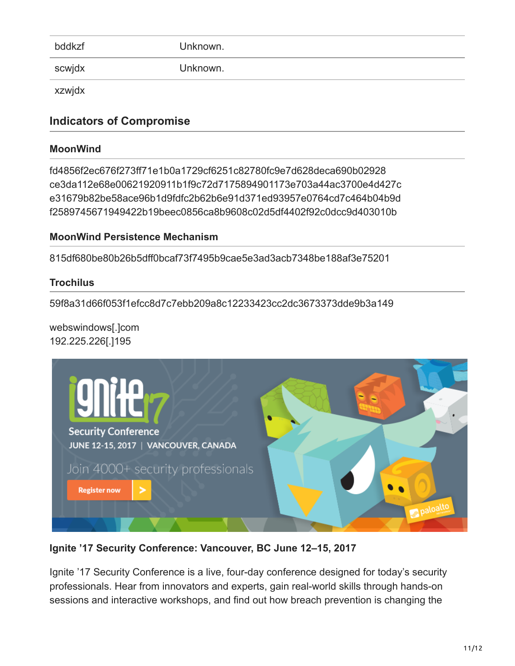| bddkzf | Unknown. |
|--------|----------|
| scwjdx | Unknown. |

xzwjdx

# **Indicators of Compromise**

### **MoonWind**

fd4856f2ec676f273ff71e1b0a1729cf6251c82780fc9e7d628deca690b02928 ce3da112e68e00621920911b1f9c72d7175894901173e703a44ac3700e4d427c e31679b82be58ace96b1d9fdfc2b62b6e91d371ed93957e0764cd7c464b04b9d f2589745671949422b19beec0856ca8b9608c02d5df4402f92c0dcc9d403010b

### **MoonWind Persistence Mechanism**

815df680be80b26b5dff0bcaf73f7495b9cae5e3ad3acb7348be188af3e75201

### **Trochilus**

59f8a31d66f053f1efcc8d7c7ebb209a8c12233423cc2dc3673373dde9b3a149

#### webswindows[.]com 192.225.226[.]195



**Ignite '17 Security Conference: Vancouver, BC June 12–15, 2017**

Ignite '17 Security Conference is a live, four-day conference designed for today's security professionals. Hear from innovators and experts, gain real-world skills through hands-on sessions and interactive workshops, and find out how breach prevention is changing the